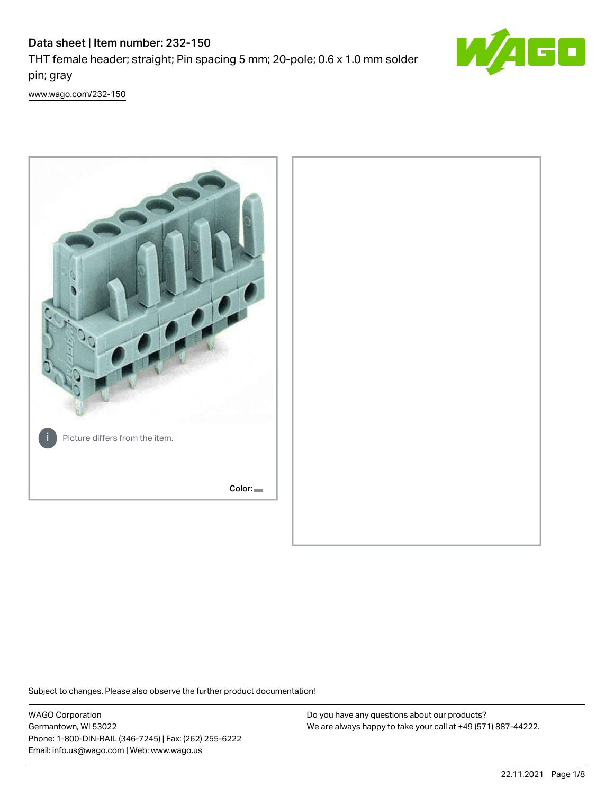## Data sheet | Item number: 232-150 THT female header; straight; Pin spacing 5 mm; 20-pole; 0.6 x 1.0 mm solder



[www.wago.com/232-150](http://www.wago.com/232-150)

pin; gray



Subject to changes. Please also observe the further product documentation!

WAGO Corporation Germantown, WI 53022 Phone: 1-800-DIN-RAIL (346-7245) | Fax: (262) 255-6222 Email: info.us@wago.com | Web: www.wago.us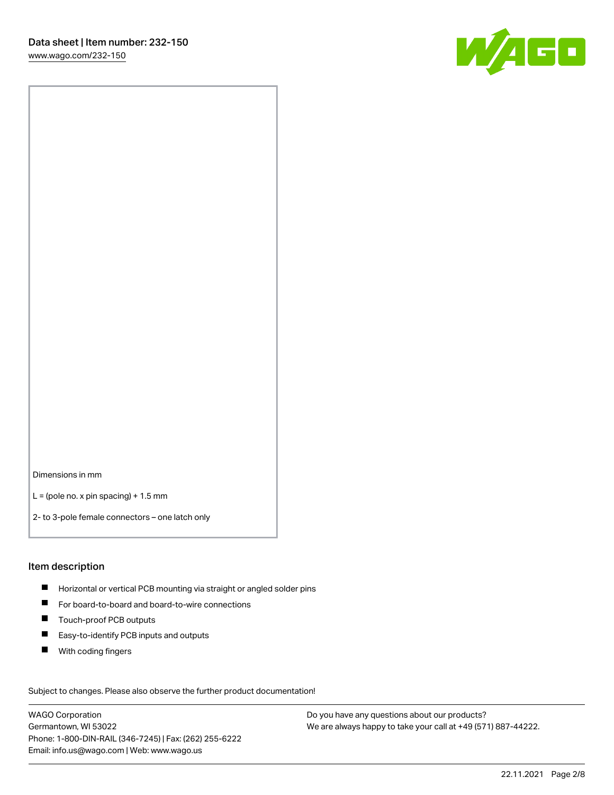

Dimensions in mm

 $L =$  (pole no. x pin spacing) + 1.5 mm

2- to 3-pole female connectors – one latch only

#### Item description

- **Horizontal or vertical PCB mounting via straight or angled solder pins**
- For board-to-board and board-to-wire connections
- $\blacksquare$ Touch-proof PCB outputs
- $\blacksquare$ Easy-to-identify PCB inputs and outputs
- $\blacksquare$ With coding fingers

Subject to changes. Please also observe the further product documentation! Data

WAGO Corporation Germantown, WI 53022 Phone: 1-800-DIN-RAIL (346-7245) | Fax: (262) 255-6222 Email: info.us@wago.com | Web: www.wago.us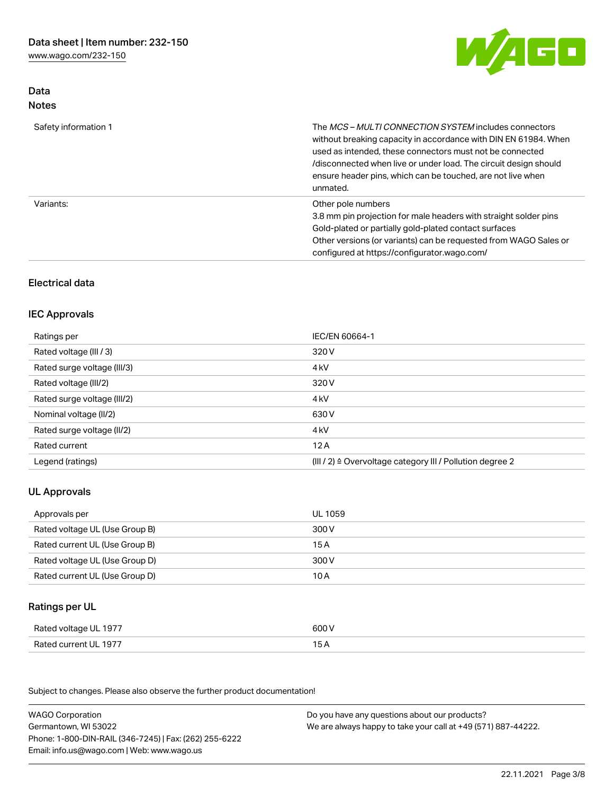[www.wago.com/232-150](http://www.wago.com/232-150)



#### Data Notes

| Safety information 1 | The <i>MCS – MULTI CONNECTION SYSTEM</i> includes connectors<br>without breaking capacity in accordance with DIN EN 61984. When<br>used as intended, these connectors must not be connected<br>/disconnected when live or under load. The circuit design should<br>ensure header pins, which can be touched, are not live when<br>unmated. |
|----------------------|--------------------------------------------------------------------------------------------------------------------------------------------------------------------------------------------------------------------------------------------------------------------------------------------------------------------------------------------|
| Variants:            | Other pole numbers<br>3.8 mm pin projection for male headers with straight solder pins<br>Gold-plated or partially gold-plated contact surfaces<br>Other versions (or variants) can be requested from WAGO Sales or<br>configured at https://configurator.wago.com/                                                                        |

#### Electrical data

#### IEC Approvals

| Ratings per                 | IEC/EN 60664-1                                                        |
|-----------------------------|-----------------------------------------------------------------------|
| Rated voltage (III / 3)     | 320 V                                                                 |
| Rated surge voltage (III/3) | 4 <sub>k</sub> V                                                      |
| Rated voltage (III/2)       | 320 V                                                                 |
| Rated surge voltage (III/2) | 4 <sub>k</sub> V                                                      |
| Nominal voltage (II/2)      | 630 V                                                                 |
| Rated surge voltage (II/2)  | 4 <sub>k</sub> V                                                      |
| Rated current               | 12A                                                                   |
| Legend (ratings)            | $(III / 2)$ $\triangle$ Overvoltage category III / Pollution degree 2 |

#### UL Approvals

| Approvals per                  | UL 1059 |
|--------------------------------|---------|
| Rated voltage UL (Use Group B) | 300 V   |
| Rated current UL (Use Group B) | 15 A    |
| Rated voltage UL (Use Group D) | 300 V   |
| Rated current UL (Use Group D) | 10 A    |

### Ratings per UL

| Rated voltage UL 1977 | 600 \ |
|-----------------------|-------|
| Rated current UL 1977 |       |

Subject to changes. Please also observe the further product documentation!

| <b>WAGO Corporation</b>                                | Do you have any questions about our products?                 |
|--------------------------------------------------------|---------------------------------------------------------------|
| Germantown, WI 53022                                   | We are always happy to take your call at +49 (571) 887-44222. |
| Phone: 1-800-DIN-RAIL (346-7245)   Fax: (262) 255-6222 |                                                               |
| Email: info.us@wago.com   Web: www.wago.us             |                                                               |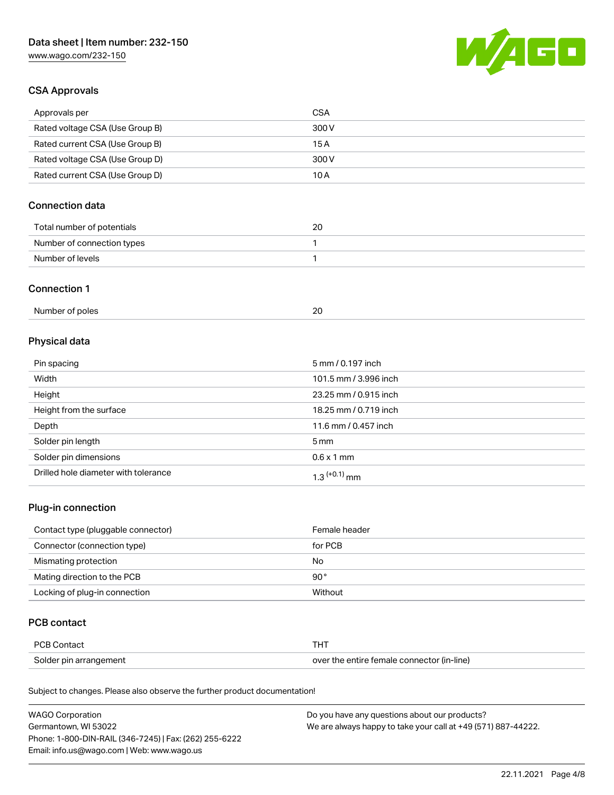[www.wago.com/232-150](http://www.wago.com/232-150)



#### CSA Approvals

| Approvals per                   | CSA   |
|---------------------------------|-------|
| Rated voltage CSA (Use Group B) | 300 V |
| Rated current CSA (Use Group B) | 15 A  |
| Rated voltage CSA (Use Group D) | 300 V |
| Rated current CSA (Use Group D) | 10 A  |

#### Connection data

| Total number of potentials | 20 |
|----------------------------|----|
| Number of connection types |    |
| Number of levels           |    |

#### Connection 1

| Number of poles |  |
|-----------------|--|
|                 |  |

### Physical data

| Pin spacing                          | 5 mm / 0.197 inch     |
|--------------------------------------|-----------------------|
| Width                                | 101.5 mm / 3.996 inch |
| Height                               | 23.25 mm / 0.915 inch |
| Height from the surface              | 18.25 mm / 0.719 inch |
| Depth                                | 11.6 mm / 0.457 inch  |
| Solder pin length                    | 5 mm                  |
| Solder pin dimensions                | $0.6 \times 1$ mm     |
| Drilled hole diameter with tolerance | $1.3$ $(+0.1)$ mm     |

#### Plug-in connection

| Contact type (pluggable connector) | Female header |
|------------------------------------|---------------|
| Connector (connection type)        | for PCB       |
| Mismating protection               | No            |
| Mating direction to the PCB        | $90^{\circ}$  |
| Locking of plug-in connection      | Without       |

#### PCB contact

| PCB Contact            |                                            |
|------------------------|--------------------------------------------|
| Solder pin arrangement | over the entire female connector (in-line) |

Subject to changes. Please also observe the further product documentation!

| <b>WAGO Corporation</b>                                | Do you have any questions about our products?                 |
|--------------------------------------------------------|---------------------------------------------------------------|
| Germantown, WI 53022                                   | We are always happy to take your call at +49 (571) 887-44222. |
| Phone: 1-800-DIN-RAIL (346-7245)   Fax: (262) 255-6222 |                                                               |
| Email: info.us@wago.com   Web: www.wago.us             |                                                               |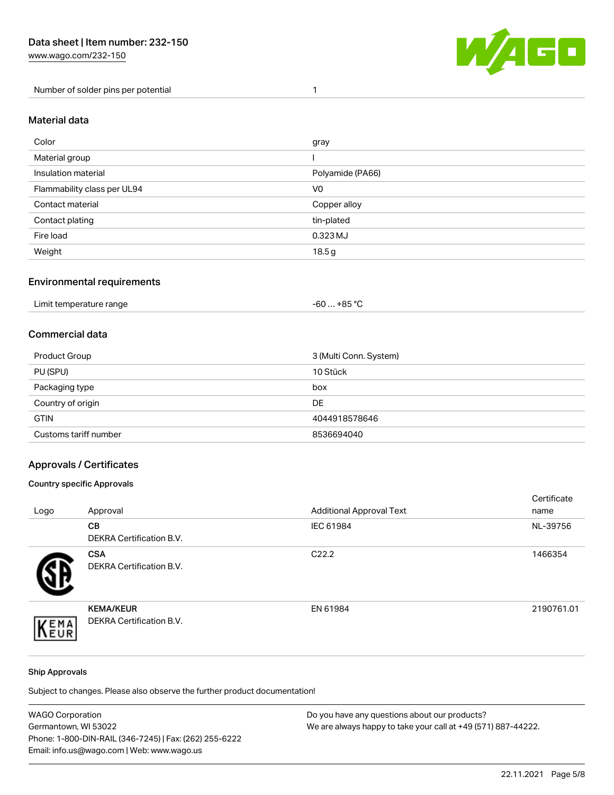



#### Material data

| Color                       | gray             |
|-----------------------------|------------------|
| Material group              |                  |
| Insulation material         | Polyamide (PA66) |
| Flammability class per UL94 | V <sub>0</sub>   |
| Contact material            | Copper alloy     |
| Contact plating             | tin-plated       |
| Fire load                   | 0.323 MJ         |
| Weight                      | 18.5g            |

#### Environmental requirements

#### Commercial data

| Product Group         | 3 (Multi Conn. System) |
|-----------------------|------------------------|
| PU (SPU)              | 10 Stück               |
| Packaging type        | box                    |
| Country of origin     | <b>DE</b>              |
| <b>GTIN</b>           | 4044918578646          |
| Customs tariff number | 8536694040             |

#### Approvals / Certificates

#### Country specific Approvals

| Logo | Approval                                            | <b>Additional Approval Text</b> | Certificate<br>name |
|------|-----------------------------------------------------|---------------------------------|---------------------|
|      | CВ<br><b>DEKRA Certification B.V.</b>               | IEC 61984                       | NL-39756            |
|      | <b>CSA</b><br>DEKRA Certification B.V.              | C <sub>22.2</sub>               | 1466354             |
| EMA  | <b>KEMA/KEUR</b><br><b>DEKRA Certification B.V.</b> | EN 61984                        | 2190761.01          |

#### Ship Approvals

Subject to changes. Please also observe the further product documentation!

| <b>WAGO Corporation</b>                                | Do you have any questions about our products?                 |
|--------------------------------------------------------|---------------------------------------------------------------|
| Germantown, WI 53022                                   | We are always happy to take your call at +49 (571) 887-44222. |
| Phone: 1-800-DIN-RAIL (346-7245)   Fax: (262) 255-6222 |                                                               |
| Email: info.us@wago.com   Web: www.wago.us             |                                                               |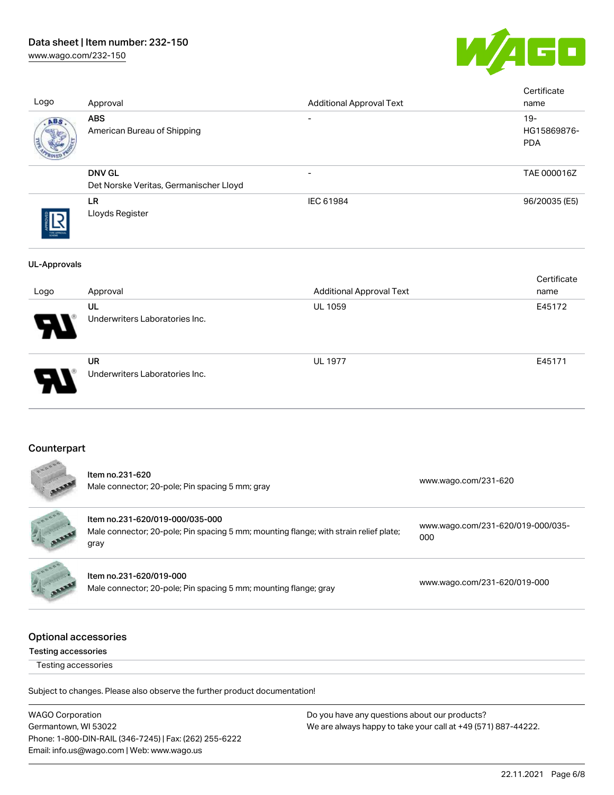# Data sheet | Item number: 232-150

[www.wago.com/232-150](http://www.wago.com/232-150)



| Logo                | Approval                                                | <b>Additional Approval Text</b> | Certificate<br>name                 |
|---------------------|---------------------------------------------------------|---------------------------------|-------------------------------------|
| ABS                 | <b>ABS</b><br>American Bureau of Shipping               | $\overline{\phantom{a}}$        | $19 -$<br>HG15869876-<br><b>PDA</b> |
|                     | <b>DNV GL</b><br>Det Norske Veritas, Germanischer Lloyd | $\overline{\phantom{0}}$        | TAE 000016Z                         |
|                     | LR<br>Lloyds Register                                   | IEC 61984                       | 96/20035 (E5)                       |
| <b>UL-Approvals</b> |                                                         |                                 |                                     |
| Logo                | Approval                                                | <b>Additional Approval Text</b> | Certificate<br>name                 |
|                     | <b>UL</b><br>Underwriters Laboratories Inc.             | UL 1059                         | E45172                              |
|                     | <b>UR</b><br>Underwriters Laboratories Inc.             | <b>UL 1977</b>                  | E45171                              |

#### **Counterpart**

| LODOBS                                                    | Item no.231-620<br>Male connector; 20-pole; Pin spacing 5 mm; gray                                                               | www.wago.com/231-620                     |
|-----------------------------------------------------------|----------------------------------------------------------------------------------------------------------------------------------|------------------------------------------|
|                                                           | Item no.231-620/019-000/035-000<br>Male connector; 20-pole; Pin spacing 5 mm; mounting flange; with strain relief plate;<br>gray | www.wago.com/231-620/019-000/035-<br>000 |
|                                                           | Item no.231-620/019-000<br>Male connector; 20-pole; Pin spacing 5 mm; mounting flange; gray                                      | www.wago.com/231-620/019-000             |
| <b>Optional accessories</b><br><b>Testing accessories</b> |                                                                                                                                  |                                          |

Testing accessories

Subject to changes. Please also observe the further product documentation!

WAGO Corporation Germantown, WI 53022 Phone: 1-800-DIN-RAIL (346-7245) | Fax: (262) 255-6222 Email: info.us@wago.com | Web: www.wago.us Do you have any questions about our products? We are always happy to take your call at +49 (571) 887-44222.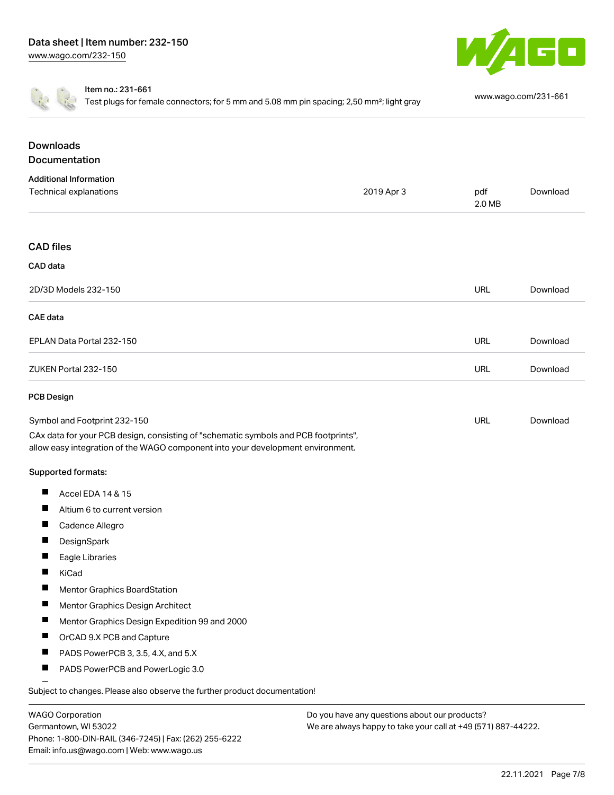



Item no.: 231-661

Test plugs for female connectors; for 5 mm and 5.08 mm pin spacing; 2,50 mm²; light gray [www.wago.com/231-661](http://www.wago.com/231-661)

| <b>Downloads</b><br>Documentation                                                                                                                                      |            |               |          |
|------------------------------------------------------------------------------------------------------------------------------------------------------------------------|------------|---------------|----------|
| <b>Additional Information</b>                                                                                                                                          |            |               |          |
| Technical explanations                                                                                                                                                 | 2019 Apr 3 | pdf<br>2.0 MB | Download |
| <b>CAD files</b>                                                                                                                                                       |            |               |          |
| CAD data                                                                                                                                                               |            |               |          |
| 2D/3D Models 232-150                                                                                                                                                   |            | URL           | Download |
| CAE data                                                                                                                                                               |            |               |          |
| EPLAN Data Portal 232-150                                                                                                                                              |            | <b>URL</b>    | Download |
| ZUKEN Portal 232-150                                                                                                                                                   |            | <b>URL</b>    | Download |
| <b>PCB Design</b>                                                                                                                                                      |            |               |          |
| Symbol and Footprint 232-150                                                                                                                                           |            | <b>URL</b>    | Download |
| CAx data for your PCB design, consisting of "schematic symbols and PCB footprints",<br>allow easy integration of the WAGO component into your development environment. |            |               |          |
| Supported formats:                                                                                                                                                     |            |               |          |
| ш<br>Accel EDA 14 & 15                                                                                                                                                 |            |               |          |
| ш<br>Altium 6 to current version                                                                                                                                       |            |               |          |
| ш<br>Cadence Allegro                                                                                                                                                   |            |               |          |
| ш<br>DesignSpark                                                                                                                                                       |            |               |          |
| Eagle Libraries<br>ш                                                                                                                                                   |            |               |          |
| ш<br>KiCad                                                                                                                                                             |            |               |          |
| Mentor Graphics BoardStation<br>ш                                                                                                                                      |            |               |          |
| Mentor Graphics Design Architect                                                                                                                                       |            |               |          |
| ш<br>Mentor Graphics Design Expedition 99 and 2000                                                                                                                     |            |               |          |
| ш<br>OrCAD 9.X PCB and Capture                                                                                                                                         |            |               |          |
| Ш<br>PADS PowerPCB 3, 3.5, 4.X, and 5.X                                                                                                                                |            |               |          |
| PADS PowerPCB and PowerLogic 3.0<br>ш                                                                                                                                  |            |               |          |
|                                                                                                                                                                        |            |               |          |

Subject to changes. Please also observe the further product documentation!

WAGO Corporation Germantown, WI 53022 Phone: 1-800-DIN-RAIL (346-7245) | Fax: (262) 255-6222 Email: info.us@wago.com | Web: www.wago.us